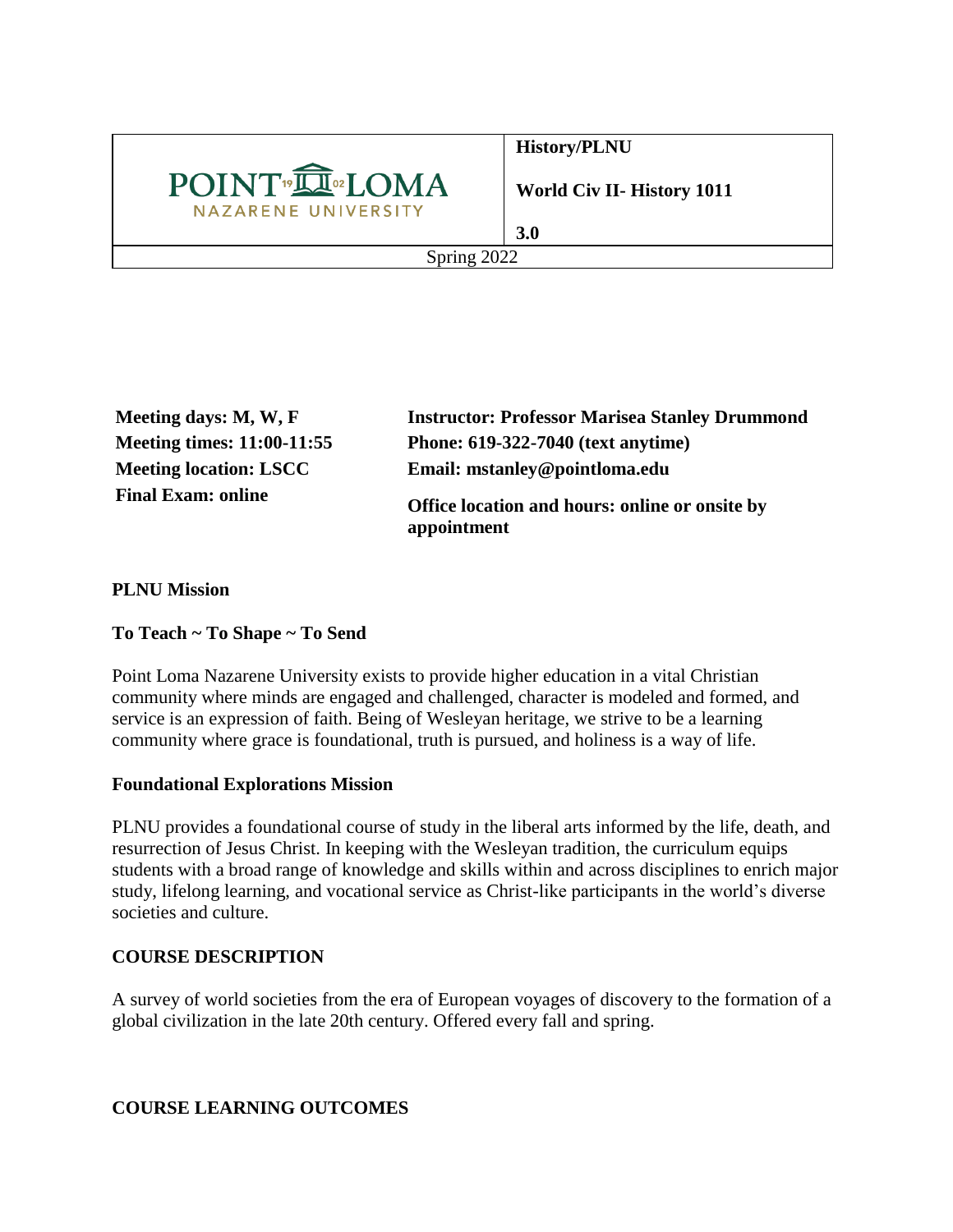

**History/PLNU**

**World Civ II- History 1011**

**3.0** Spring 2022

**Meeting days: M, W, F Instructor: Professor Marisea Stanley Drummond Meeting times: 11:00-11:55 Phone: 619-322-7040 (text anytime) Meeting location: LSCC Email: mstanley@pointloma.edu Final Exam: online Office location and hours: online or onsite by appointment**

**PLNU Mission**

## **To Teach ~ To Shape ~ To Send**

Point Loma Nazarene University exists to provide higher education in a vital Christian community where minds are engaged and challenged, character is modeled and formed, and service is an expression of faith. Being of Wesleyan heritage, we strive to be a learning community where grace is foundational, truth is pursued, and holiness is a way of life.

## **Foundational Explorations Mission**

PLNU provides a foundational course of study in the liberal arts informed by the life, death, and resurrection of Jesus Christ. In keeping with the Wesleyan tradition, the curriculum equips students with a broad range of knowledge and skills within and across disciplines to enrich major study, lifelong learning, and vocational service as Christ-like participants in the world's diverse societies and culture.

## **COURSE DESCRIPTION**

A survey of world societies from the era of European voyages of discovery to the formation of a global civilization in the late 20th century. Offered every fall and spring.

## **COURSE LEARNING OUTCOMES**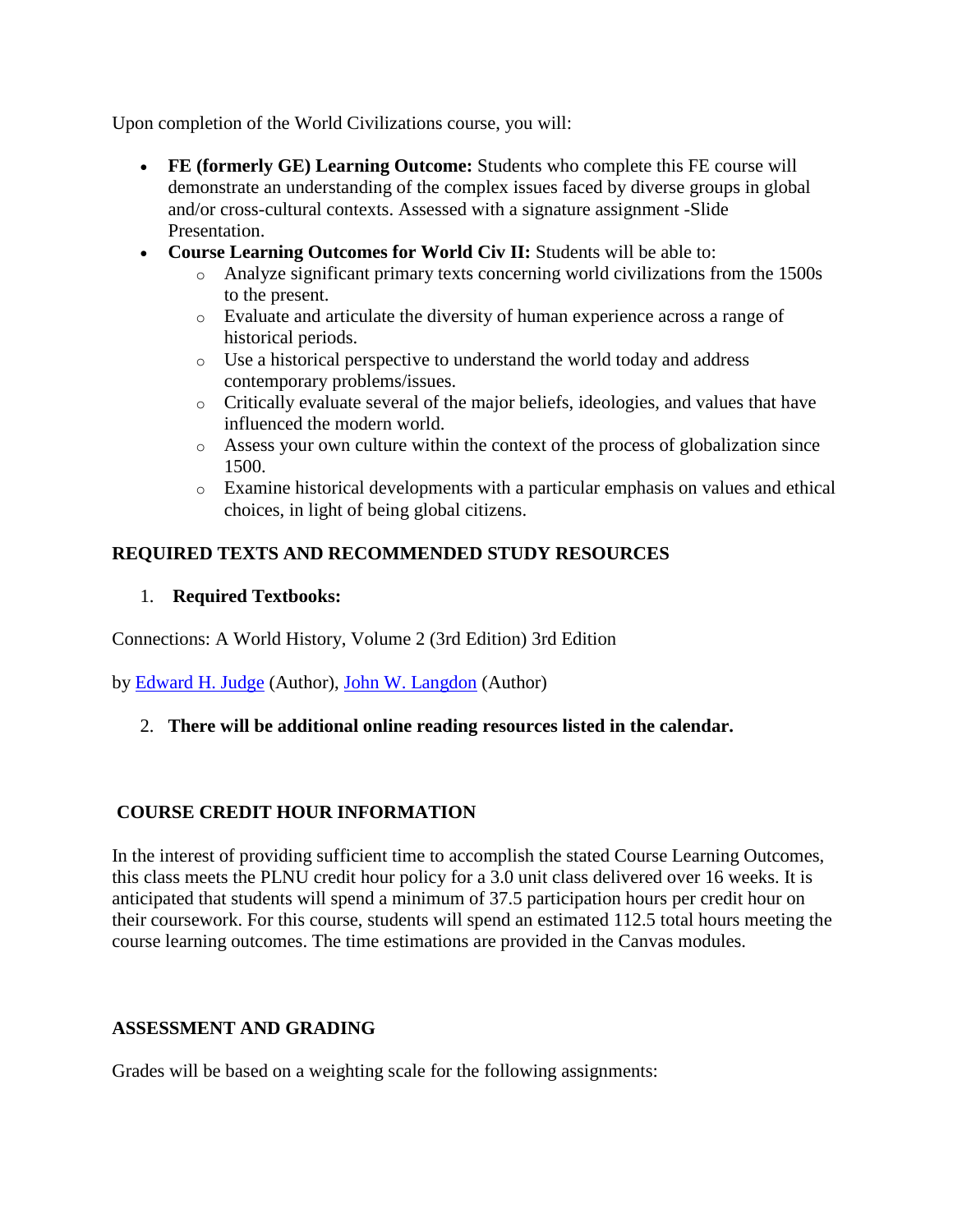Upon completion of the World Civilizations course, you will:

- **FE (formerly GE) Learning Outcome:** Students who complete this FE course will demonstrate an understanding of the complex issues faced by diverse groups in global and/or cross-cultural contexts. Assessed with a signature assignment -Slide Presentation.
- **Course Learning Outcomes for World Civ II:** Students will be able to:
	- o Analyze significant primary texts concerning world civilizations from the 1500s to the present.
	- o Evaluate and articulate the diversity of human experience across a range of historical periods.
	- o Use a historical perspective to understand the world today and address contemporary problems/issues.
	- o Critically evaluate several of the major beliefs, ideologies, and values that have influenced the modern world.
	- o Assess your own culture within the context of the process of globalization since 1500.
	- o Examine historical developments with a particular emphasis on values and ethical choices, in light of being global citizens.

## **REQUIRED TEXTS AND RECOMMENDED STUDY RESOURCES**

## 1. **Required Textbooks:**

Connections: A World History, Volume 2 (3rd Edition) 3rd Edition

by [Edward H. Judge](https://www.amazon.com/s/ref=dp_byline_sr_book_1?ie=UTF8&text=Edward+H.+Judge&search-alias=books&field-author=Edward+H.+Judge&sort=relevancerank) (Author), [John W. Langdon](https://www.amazon.com/s/ref=dp_byline_sr_book_2?ie=UTF8&text=John+W.+Langdon&search-alias=books&field-author=John+W.+Langdon&sort=relevancerank) (Author)

2. **There will be additional online reading resources listed in the calendar.**

## **COURSE CREDIT HOUR INFORMATION**

In the interest of providing sufficient time to accomplish the stated Course Learning Outcomes, this class meets the PLNU credit hour policy for a 3.0 unit class delivered over 16 weeks. It is anticipated that students will spend a minimum of 37.5 participation hours per credit hour on their coursework. For this course, students will spend an estimated 112.5 total hours meeting the course learning outcomes. The time estimations are provided in the Canvas modules.

## **ASSESSMENT AND GRADING**

Grades will be based on a weighting scale for the following assignments: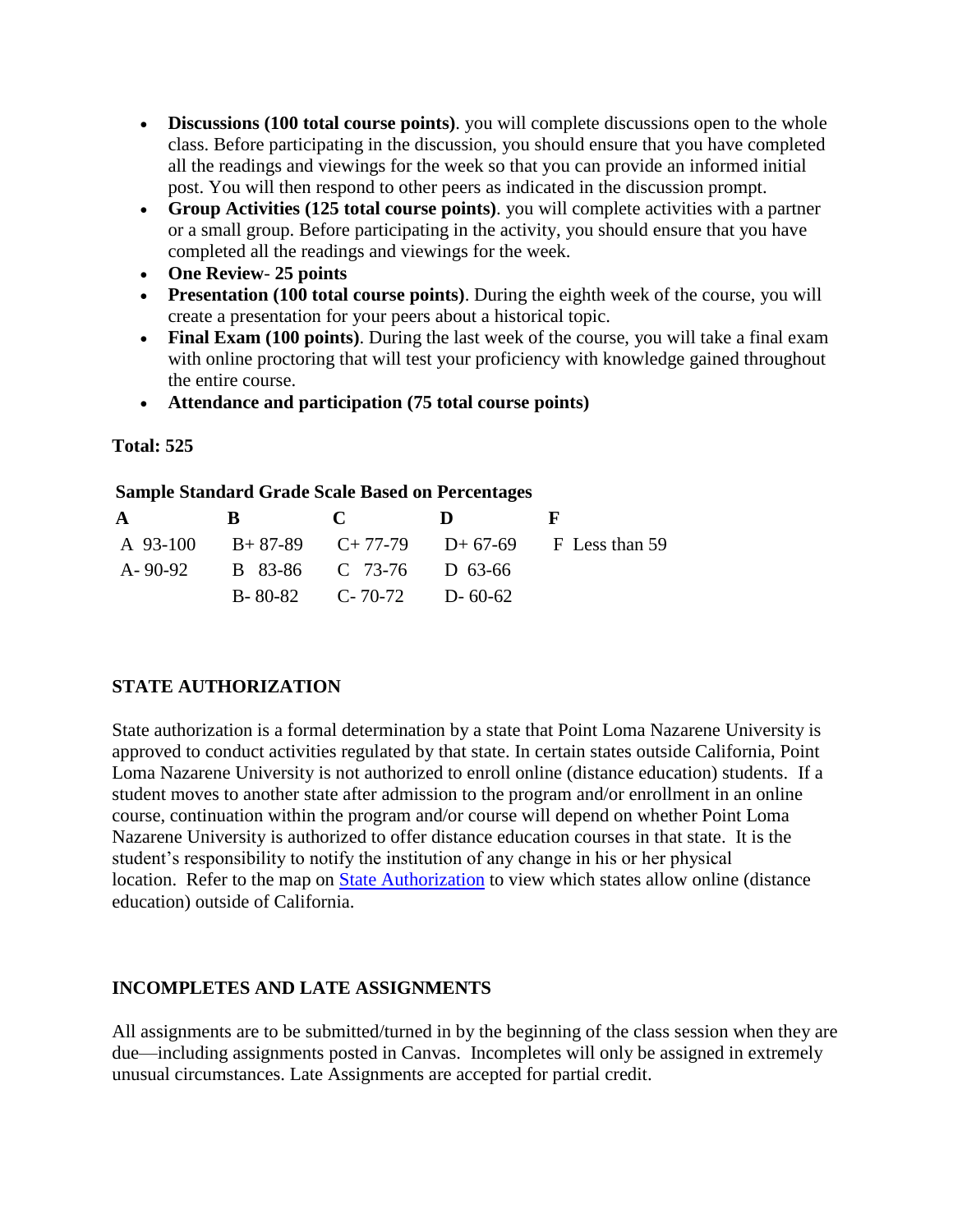- **Discussions (100 total course points)**. you will complete discussions open to the whole class. Before participating in the discussion, you should ensure that you have completed all the readings and viewings for the week so that you can provide an informed initial post. You will then respond to other peers as indicated in the discussion prompt.
- **Group Activities (125 total course points)**. you will complete activities with a partner or a small group. Before participating in the activity, you should ensure that you have completed all the readings and viewings for the week.
- **One Review 25 points**
- **Presentation (100 total course points)**. During the eighth week of the course, you will create a presentation for your peers about a historical topic.
- **Final Exam (100 points)**. During the last week of the course, you will take a final exam with online proctoring that will test your proficiency with knowledge gained throughout the entire course.
- **Attendance and participation (75 total course points)**

## **Total: 525**

## **Sample Standard Grade Scale Based on Percentages**

| $\mathbf{A}$ | B C |                                 | $\mathbf{D}$ | . Н.                                                  |
|--------------|-----|---------------------------------|--------------|-------------------------------------------------------|
|              |     |                                 |              | A 93-100 B + 87-89 C + 77-79 D + 67-69 F Less than 59 |
|              |     | A-90-92 B 83-86 C 73-76 D 63-66 |              |                                                       |
|              |     | $B-80-82$ C-70-72 D-60-62       |              |                                                       |

## **STATE AUTHORIZATION**

State authorization is a formal determination by a state that Point Loma Nazarene University is approved to conduct activities regulated by that state. In certain states outside California, Point Loma Nazarene University is not authorized to enroll online (distance education) students. If a student moves to another state after admission to the program and/or enrollment in an online course, continuation within the program and/or course will depend on whether Point Loma Nazarene University is authorized to offer distance education courses in that state. It is the student's responsibility to notify the institution of any change in his or her physical location. Refer to the map on State [Authorization](https://www.pointloma.edu/offices/office-institutional-effectiveness-research/disclosures) to view which states allow online (distance education) outside of California.

## **INCOMPLETES AND LATE ASSIGNMENTS**

All assignments are to be submitted/turned in by the beginning of the class session when they are due—including assignments posted in Canvas. Incompletes will only be assigned in extremely unusual circumstances. Late Assignments are accepted for partial credit.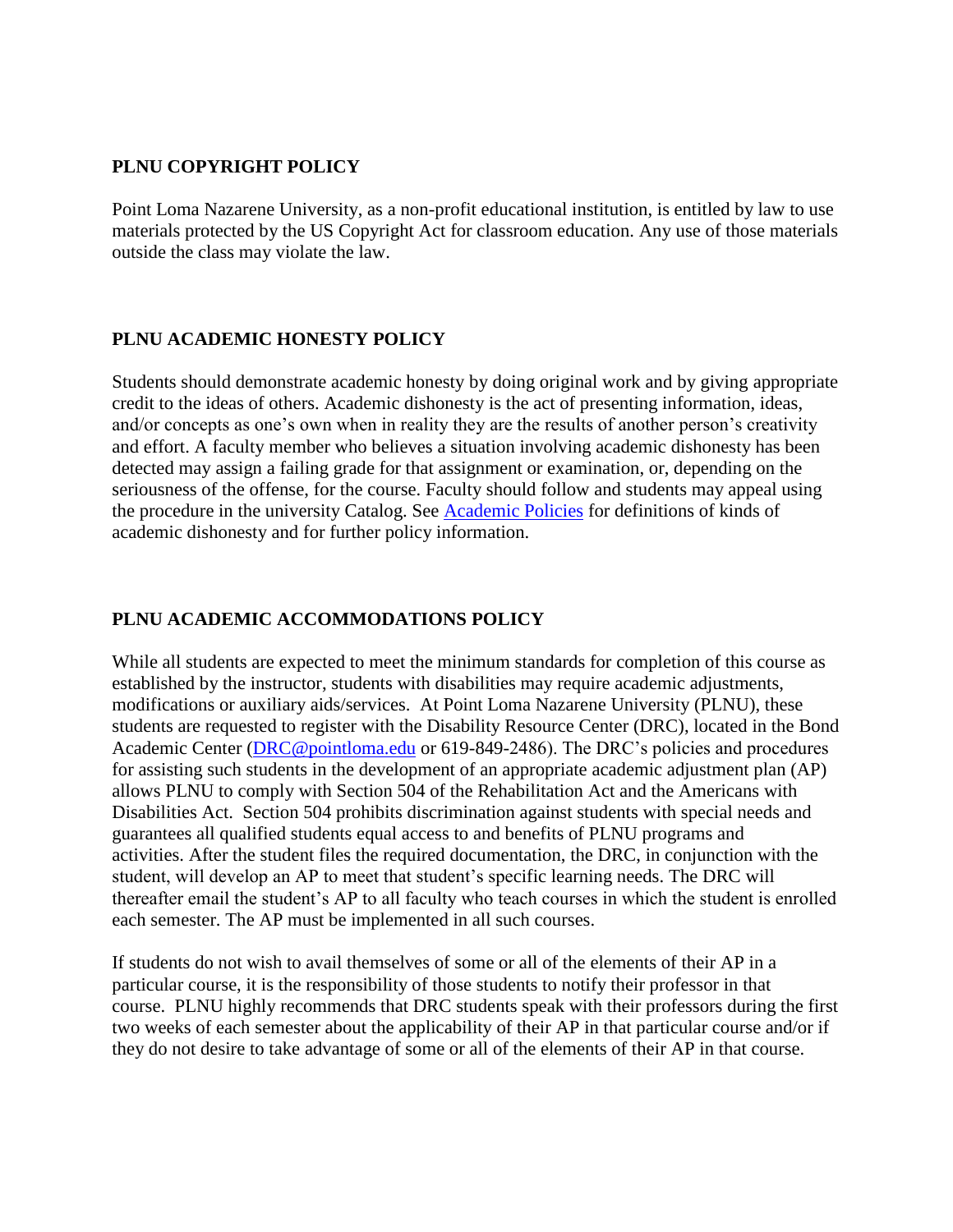## **PLNU COPYRIGHT POLICY**

Point Loma Nazarene University, as a non-profit educational institution, is entitled by law to use materials protected by the US Copyright Act for classroom education. Any use of those materials outside the class may violate the law.

### **PLNU ACADEMIC HONESTY POLICY**

Students should demonstrate academic honesty by doing original work and by giving appropriate credit to the ideas of others. Academic dishonesty is the act of presenting information, ideas, and/or concepts as one's own when in reality they are the results of another person's creativity and effort. A faculty member who believes a situation involving academic dishonesty has been detected may assign a failing grade for that assignment or examination, or, depending on the seriousness of the offense, for the course. Faculty should follow and students may appeal using the procedure in the university Catalog. See [Academic Policies](https://catalog.pointloma.edu/content.php?catoid=41&navoid=2435#Academic_Honesty) for definitions of kinds of academic dishonesty and for further policy information.

### **PLNU ACADEMIC ACCOMMODATIONS POLICY**

While all students are expected to meet the minimum standards for completion of this course as established by the instructor, students with disabilities may require academic adjustments, modifications or auxiliary aids/services. At Point Loma Nazarene University (PLNU), these students are requested to register with the Disability Resource Center (DRC), located in the Bond Academic Center [\(DRC@pointloma.edu](mailto:DRC@pointloma.edu) or 619-849-2486). The DRC's policies and procedures for assisting such students in the development of an appropriate academic adjustment plan (AP) allows PLNU to comply with Section 504 of the Rehabilitation Act and the Americans with Disabilities Act. Section 504 prohibits discrimination against students with special needs and guarantees all qualified students equal access to and benefits of PLNU programs and activities. After the student files the required documentation, the DRC, in conjunction with the student, will develop an AP to meet that student's specific learning needs. The DRC will thereafter email the student's AP to all faculty who teach courses in which the student is enrolled each semester. The AP must be implemented in all such courses.

If students do not wish to avail themselves of some or all of the elements of their AP in a particular course, it is the responsibility of those students to notify their professor in that course. PLNU highly recommends that DRC students speak with their professors during the first two weeks of each semester about the applicability of their AP in that particular course and/or if they do not desire to take advantage of some or all of the elements of their AP in that course.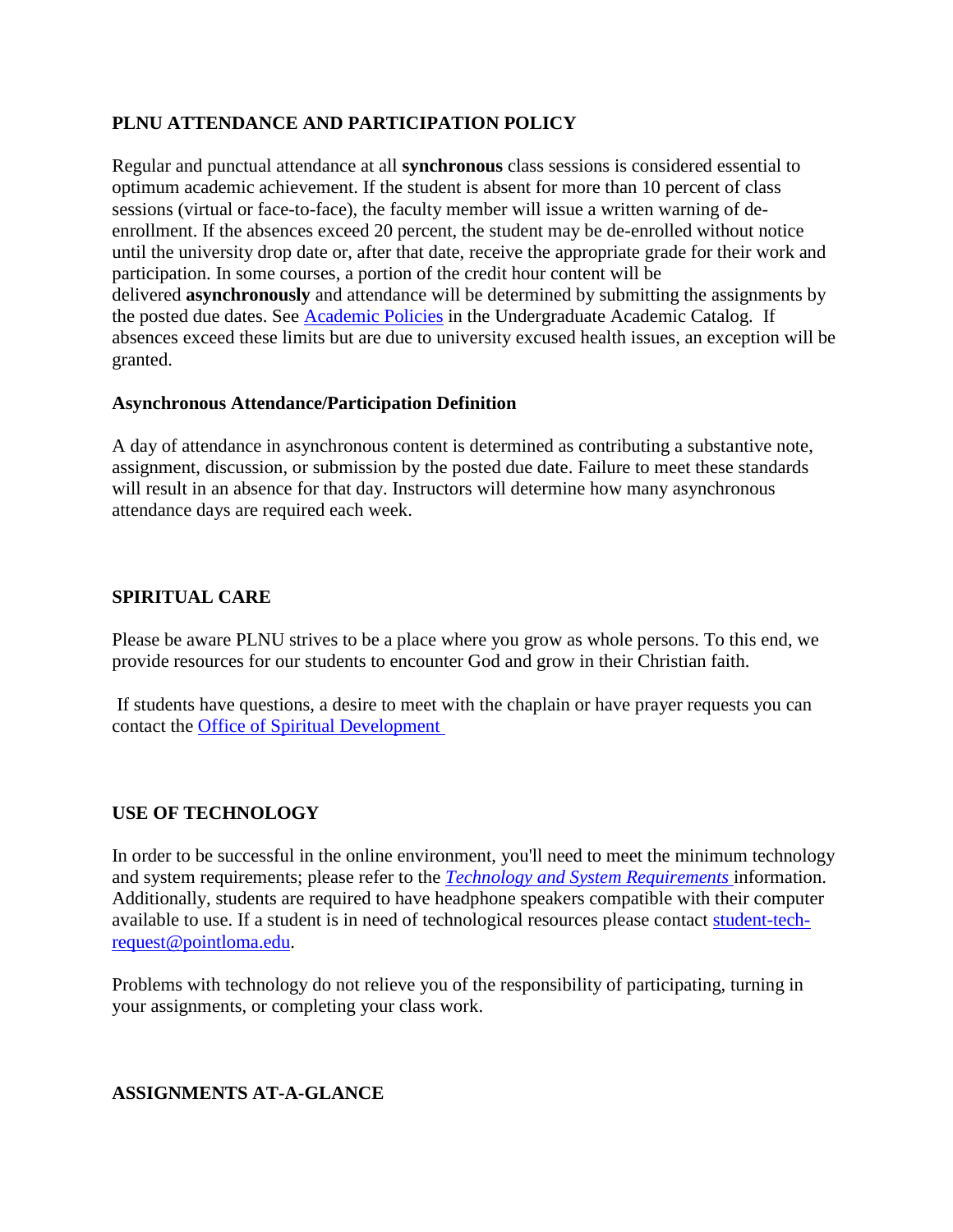## **PLNU ATTENDANCE AND PARTICIPATION POLICY**

Regular and punctual attendance at all **synchronous** class sessions is considered essential to optimum academic achievement. If the student is absent for more than 10 percent of class sessions (virtual or face-to-face), the faculty member will issue a written warning of deenrollment. If the absences exceed 20 percent, the student may be de-enrolled without notice until the university drop date or, after that date, receive the appropriate grade for their work and participation. In some courses, a portion of the credit hour content will be delivered **asynchronously** and attendance will be determined by submitting the assignments by the posted due dates. See [Academic Policies](https://catalog.pointloma.edu/content.php?catoid=46&navoid=2650#Class_Attendance) in the Undergraduate Academic Catalog. If absences exceed these limits but are due to university excused health issues, an exception will be granted.

## **Asynchronous Attendance/Participation Definition**

A day of attendance in asynchronous content is determined as contributing a substantive note, assignment, discussion, or submission by the posted due date. Failure to meet these standards will result in an absence for that day. Instructors will determine how many asynchronous attendance days are required each week.

## **SPIRITUAL CARE**

Please be aware PLNU strives to be a place where you grow as whole persons. To this end, we provide resources for our students to encounter God and grow in their Christian faith.

If students have questions, a desire to meet with the chaplain or have prayer requests you can contact the [Office of Spiritual Development](https://www.pointloma.edu/offices/spiritual-development)

## **USE OF TECHNOLOGY**

In order to be successful in the online environment, you'll need to meet the minimum technology and system requirements; please refer to the *[Technology and System Requirements](https://help.pointloma.edu/TDClient/1808/Portal/KB/ArticleDet?ID=108349)* information. Additionally, students are required to have headphone speakers compatible with their computer available to use. If a student is in need of technological resources please contact [student-tech](mailto:student-tech-request@pointloma.edu)[request@pointloma.edu.](mailto:student-tech-request@pointloma.edu)

Problems with technology do not relieve you of the responsibility of participating, turning in your assignments, or completing your class work.

### **ASSIGNMENTS AT-A-GLANCE**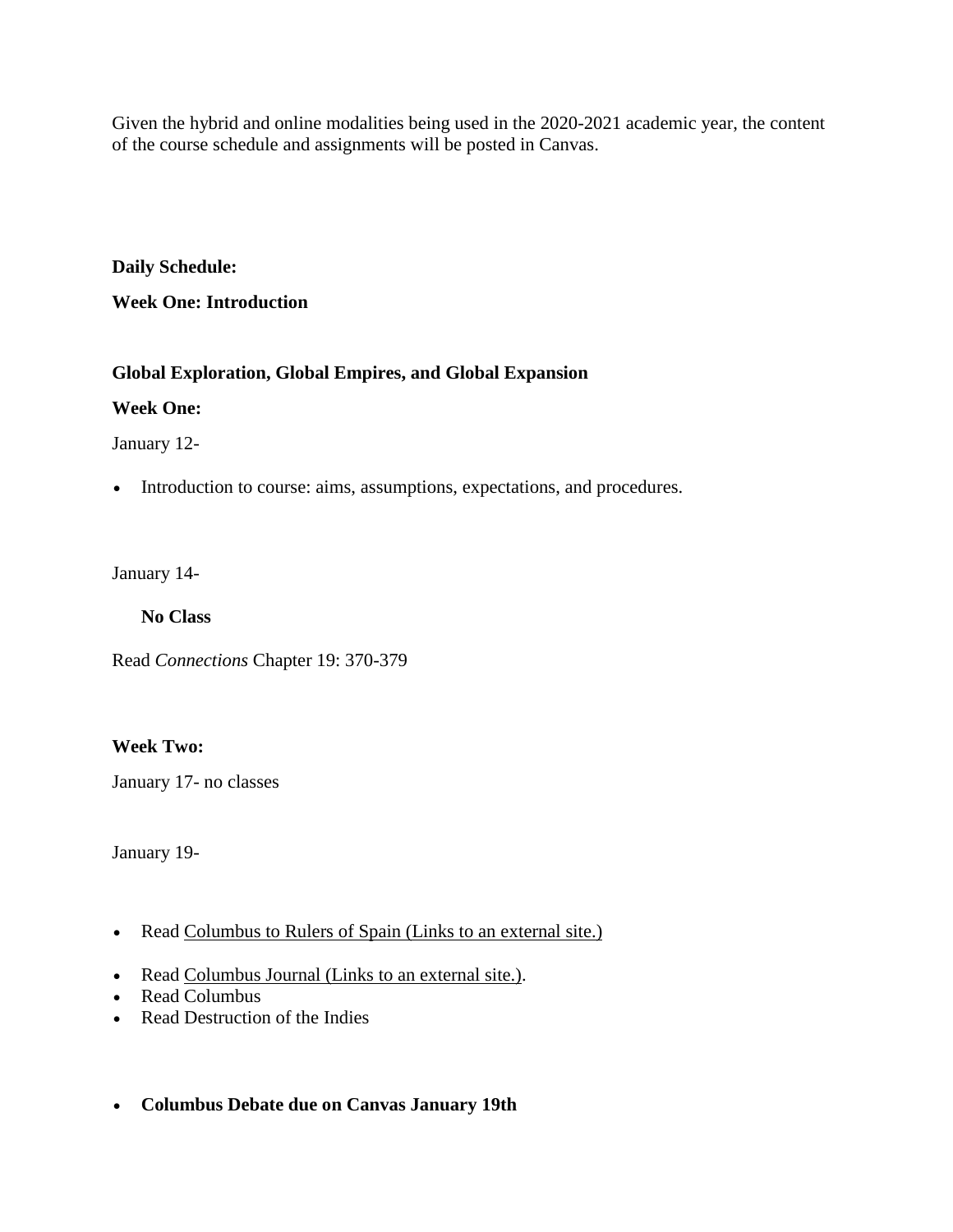Given the hybrid and online modalities being used in the 2020-2021 academic year, the content of the course schedule and assignments will be posted in Canvas.

**Daily Schedule:**

**Week One: Introduction**

## **Global Exploration, Global Empires, and Global Expansion**

**Week One:** 

January 12-

Introduction to course: aims, assumptions, expectations, and procedures.

January 14-

**No Class**

Read *Connections* Chapter 19: 370-379

## **Week Two:**

January 17- no classes

January 19-

- Read [Columbus to Rulers](http://www.fordham.edu/halsall/source/columbus2.html) of Spain (Links to an external site.)
- Read [Columbus Journal](http://www.fordham.edu/halsall/source/columbus1.html) (Links to an external site.).
- Read Columbus
- Read Destruction of the Indies
- **Columbus Debate due on Canvas January 19th**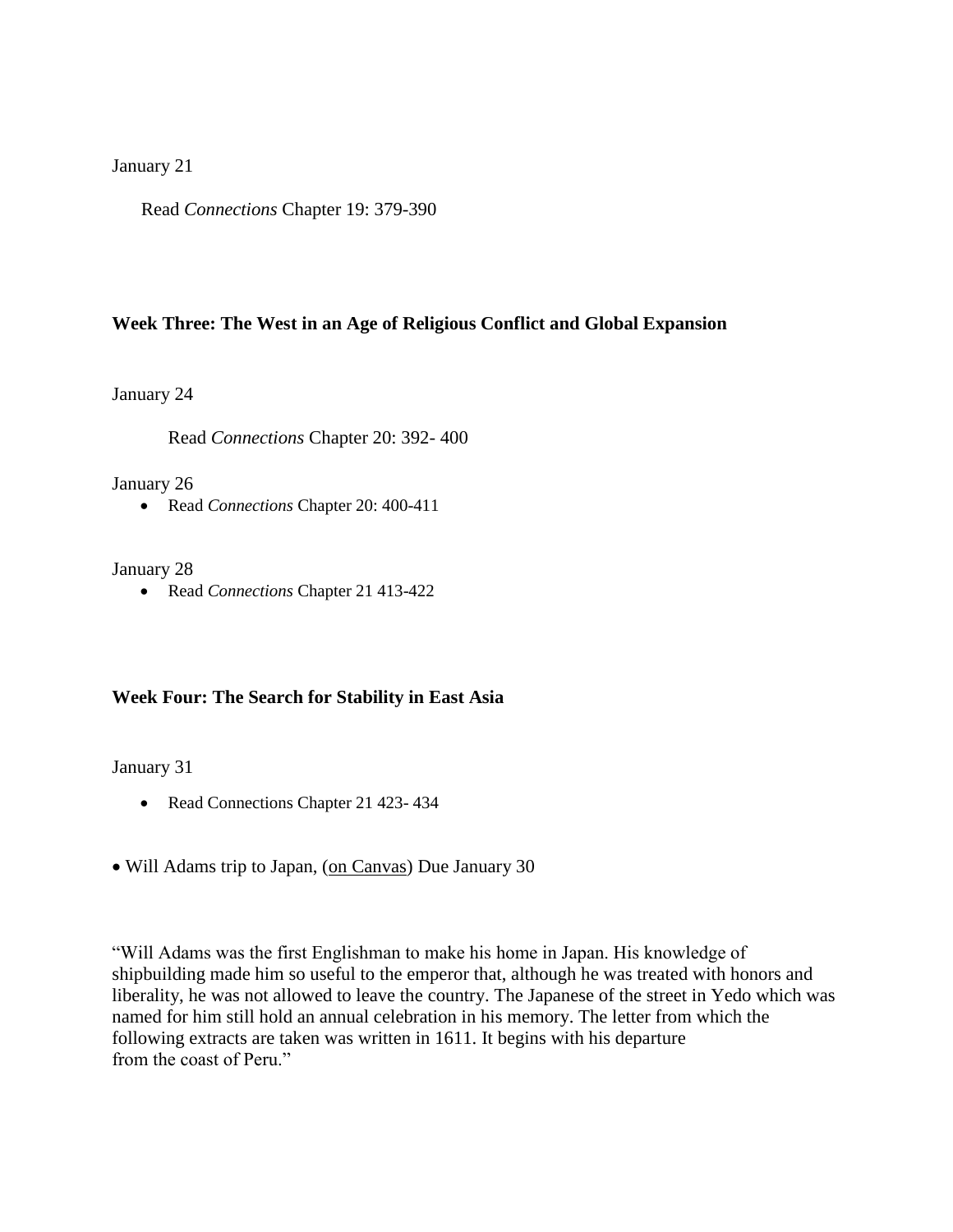#### January 21

Read *Connections* Chapter 19: 379-390

#### **Week Three: The West in an Age of Religious Conflict and Global Expansion**

January 24

Read *Connections* Chapter 20: 392- 400

January 26

Read *Connections* Chapter 20: 400-411

#### January 28

Read *Connections* Chapter 21 413-422

#### **Week Four: The Search for Stability in East Asia**

January 31

- Read Connections Chapter 21 423-434
- Will Adams trip to Japan, [\(on Canvas\)](http://www.fordham.edu/halsall/mod/1611adams-japan.html) Due January 30

"Will Adams was the first Englishman to make his home in Japan. His knowledge of shipbuilding made him so useful to the emperor that, although he was treated with honors and liberality, he was not allowed to leave the country. The Japanese of the street in Yedo which was named for him still hold an annual celebration in his memory. The letter from which the following extracts are taken was written in 1611. It begins with his departure from the coast of Peru."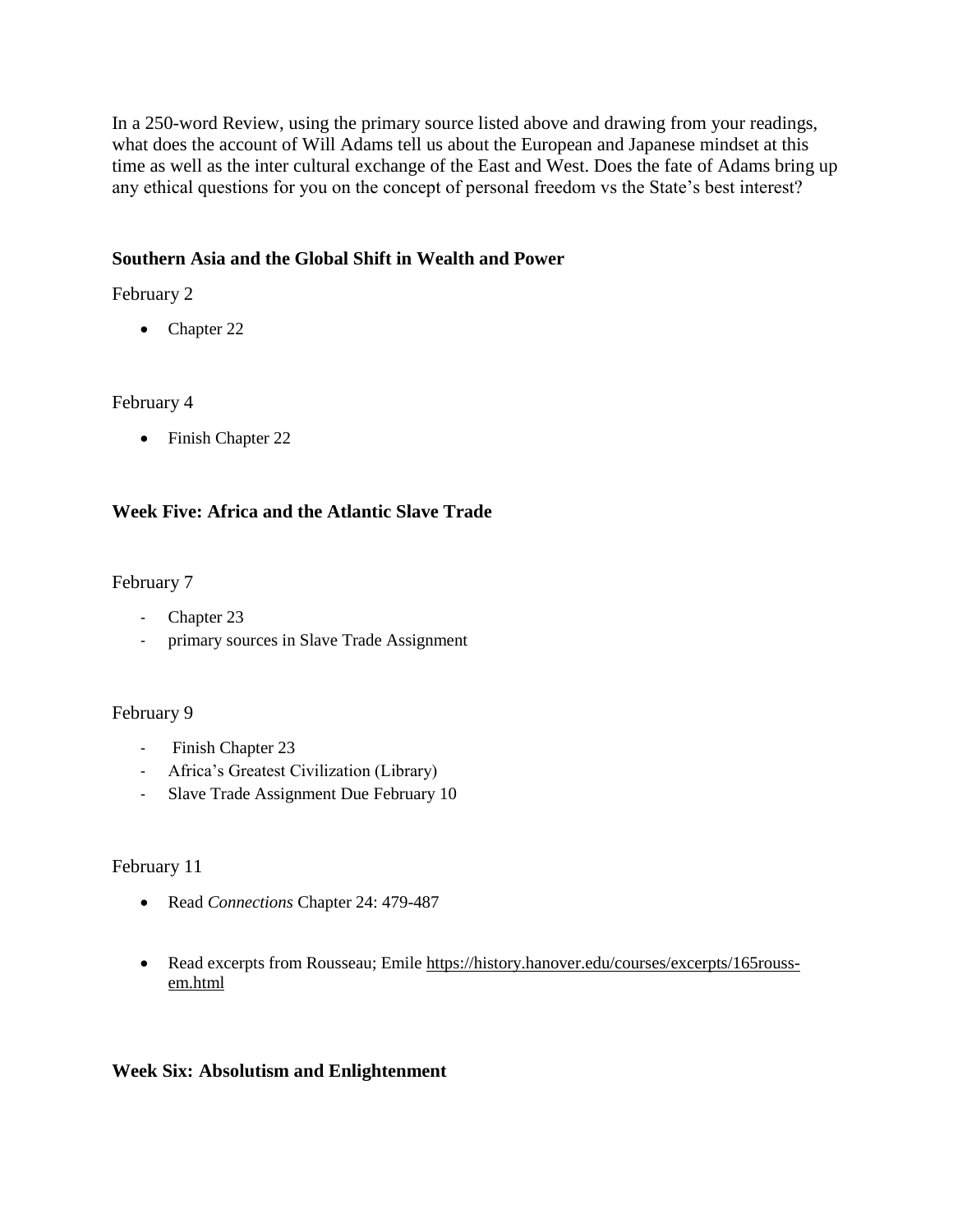In a 250-word Review, using the primary source listed above and drawing from your readings, what does the account of Will Adams tell us about the European and Japanese mindset at this time as well as the inter cultural exchange of the East and West. Does the fate of Adams bring up any ethical questions for you on the concept of personal freedom vs the State's best interest?

## **Southern Asia and the Global Shift in Wealth and Power**

## February 2

• Chapter 22

## February 4

• Finish Chapter 22

## **Week Five: Africa and the Atlantic Slave Trade**

## February 7

- Chapter 23
- primary sources in Slave Trade Assignment

## February 9

- Finish Chapter 23
- Africa's Greatest Civilization (Library)
- Slave Trade Assignment Due February 10

## February 11

- Read *Connections* Chapter 24: 479-487
- Read excerpts from Rousseau; Emile [https://history.hanover.edu/courses/excerpts/165rouss](https://history.hanover.edu/courses/excerpts/165rouss-em.html)[em.html](https://history.hanover.edu/courses/excerpts/165rouss-em.html)

## **Week Six: Absolutism and Enlightenment**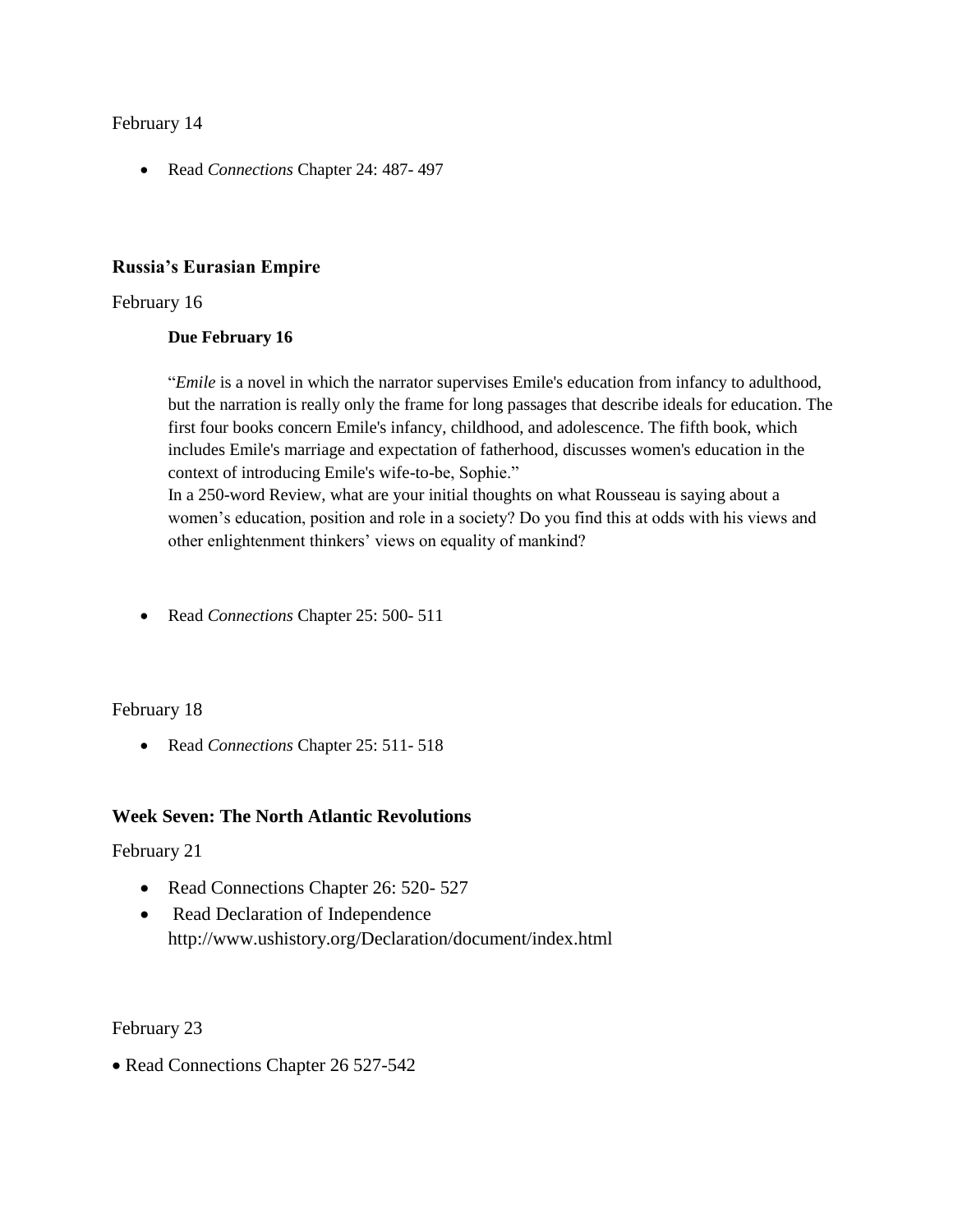### February 14

Read *Connections* Chapter 24: 487- 497

#### **Russia's Eurasian Empire**

#### February 16

#### **Due February 16**

"*Emile* is a novel in which the narrator supervises Emile's education from infancy to adulthood, but the narration is really only the frame for long passages that describe ideals for education. The first four books concern Emile's infancy, childhood, and adolescence. The fifth book, which includes Emile's marriage and expectation of fatherhood, discusses women's education in the context of introducing Emile's wife-to-be, Sophie."

In a 250-word Review, what are your initial thoughts on what Rousseau is saying about a women's education, position and role in a society? Do you find this at odds with his views and other enlightenment thinkers' views on equality of mankind?

Read *Connections* Chapter 25: 500- 511

#### February 18

Read *Connections* Chapter 25: 511- 518

### **Week Seven: The North Atlantic Revolutions**

February 21

- Read Connections Chapter 26: 520- 527
- Read Declaration of Independence http://www.ushistory.org/Declaration/document/index.html

February 23

• Read Connections Chapter 26 527-542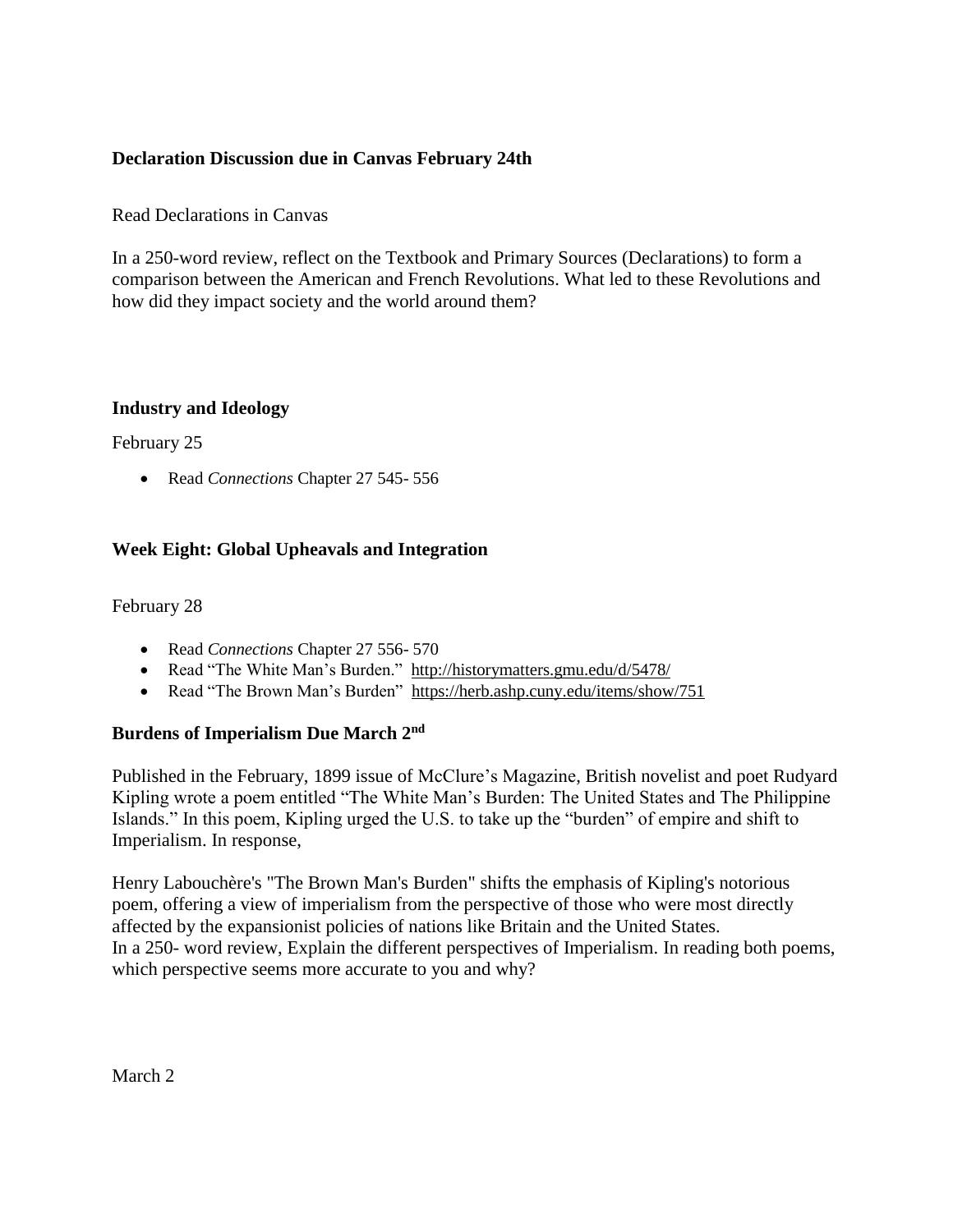## **Declaration Discussion due in Canvas February 24th**

### Read Declarations in Canvas

In a 250-word review, reflect on the Textbook and Primary Sources (Declarations) to form a comparison between the American and French Revolutions. What led to these Revolutions and how did they impact society and the world around them?

### **Industry and Ideology**

February 25

Read *Connections* Chapter 27 545- 556

## **Week Eight: Global Upheavals and Integration**

### February 28

- Read *Connections* Chapter 27 556- 570
- Read "The White Man's Burden." <http://historymatters.gmu.edu/d/5478/>
- Read "The Brown Man's Burden" <https://herb.ashp.cuny.edu/items/show/751>

### **Burdens of Imperialism Due March 2nd**

Published in the February, 1899 issue of McClure's Magazine, British novelist and poet Rudyard Kipling wrote a poem entitled "The White Man's Burden: The United States and The Philippine Islands." In this poem, Kipling urged the U.S. to take up the "burden" of empire and shift to Imperialism. In response,

Henry Labouchère's "The Brown Man's Burden" shifts the emphasis of Kipling's notorious poem, offering a view of imperialism from the perspective of those who were most directly affected by the expansionist policies of nations like Britain and the United States. In a 250- word review, Explain the different perspectives of Imperialism. In reading both poems, which perspective seems more accurate to you and why?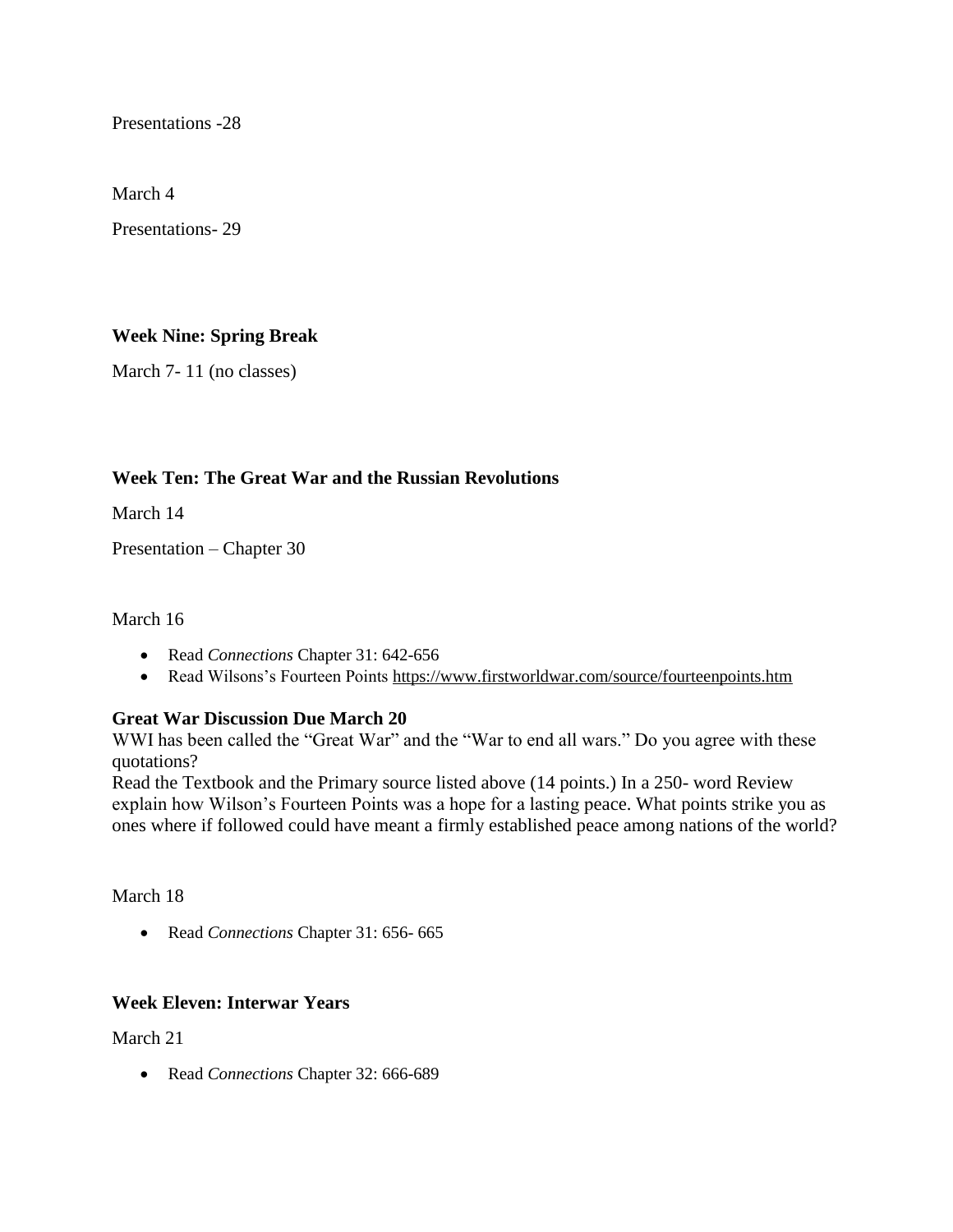Presentations -28

March 4

Presentations- 29

## **Week Nine: Spring Break**

March 7- 11 (no classes)

## **Week Ten: The Great War and the Russian Revolutions**

March 14

Presentation – Chapter 30

### March 16

- Read *Connections* Chapter 31: 642-656
- Read Wilsons's Fourteen Points<https://www.firstworldwar.com/source/fourteenpoints.htm>

## **Great War Discussion Due March 20**

WWI has been called the "Great War" and the "War to end all wars." Do you agree with these quotations?

Read the Textbook and the Primary source listed above (14 points.) In a 250- word Review explain how Wilson's Fourteen Points was a hope for a lasting peace. What points strike you as ones where if followed could have meant a firmly established peace among nations of the world?

### March 18

Read *Connections* Chapter 31: 656- 665

### **Week Eleven: Interwar Years**

March 21

Read *Connections* Chapter 32: 666-689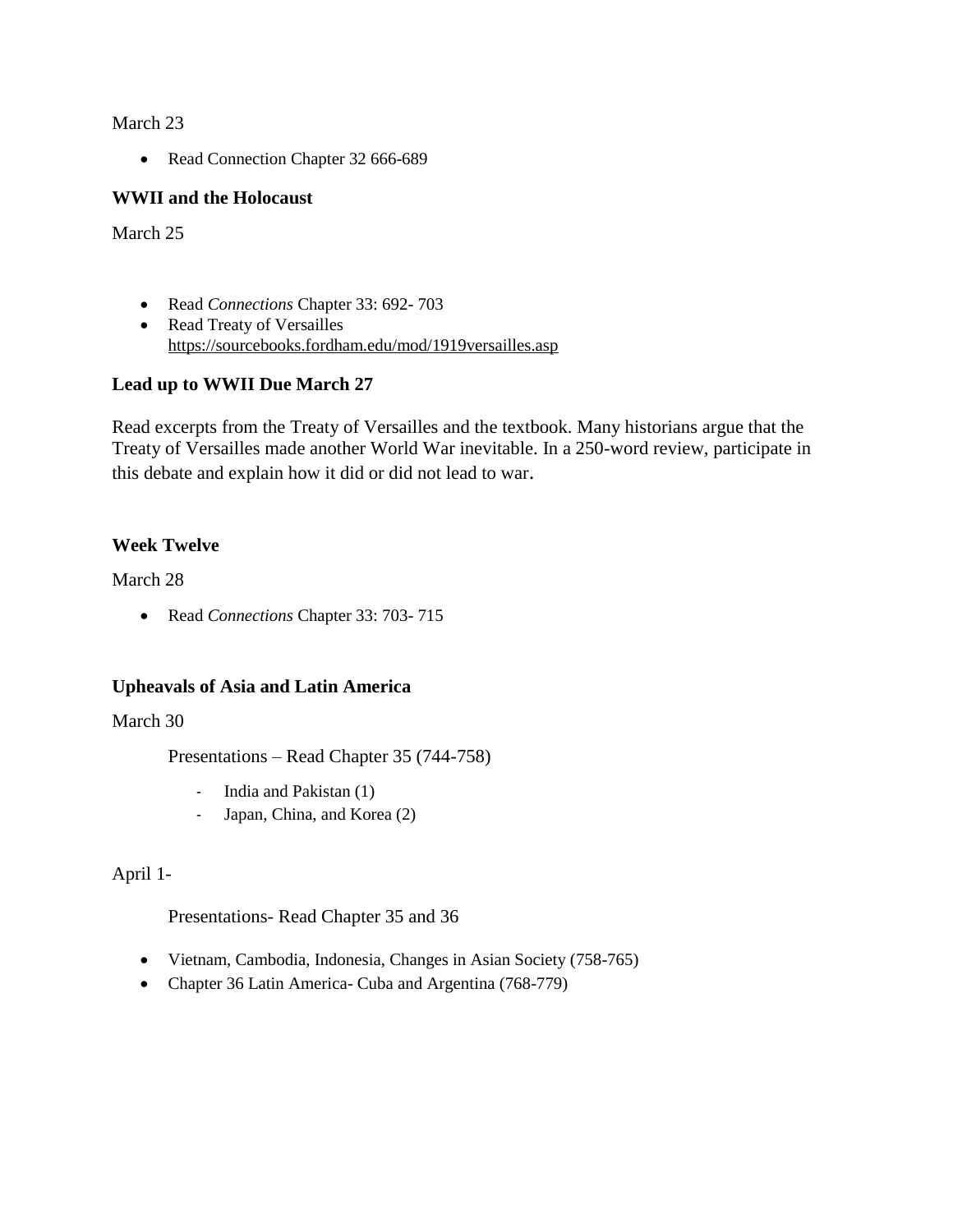March 23

• Read Connection Chapter 32 666-689

### **WWII and the Holocaust**

March 25

- Read *Connections* Chapter 33: 692- 703
- Read Treaty of Versailles <https://sourcebooks.fordham.edu/mod/1919versailles.asp>

## **Lead up to WWII Due March 27**

Read excerpts from the Treaty of Versailles and the textbook. Many historians argue that the Treaty of Versailles made another World War inevitable. In a 250-word review, participate in this debate and explain how it did or did not lead to war.

## **Week Twelve**

March 28

Read *Connections* Chapter 33: 703- 715

### **Upheavals of Asia and Latin America**

March 30

Presentations – Read Chapter 35 (744-758)

- India and Pakistan (1)
- Japan, China, and Korea (2)

April 1-

Presentations- Read Chapter 35 and 36

- Vietnam, Cambodia, Indonesia, Changes in Asian Society (758-765)
- Chapter 36 Latin America- Cuba and Argentina (768-779)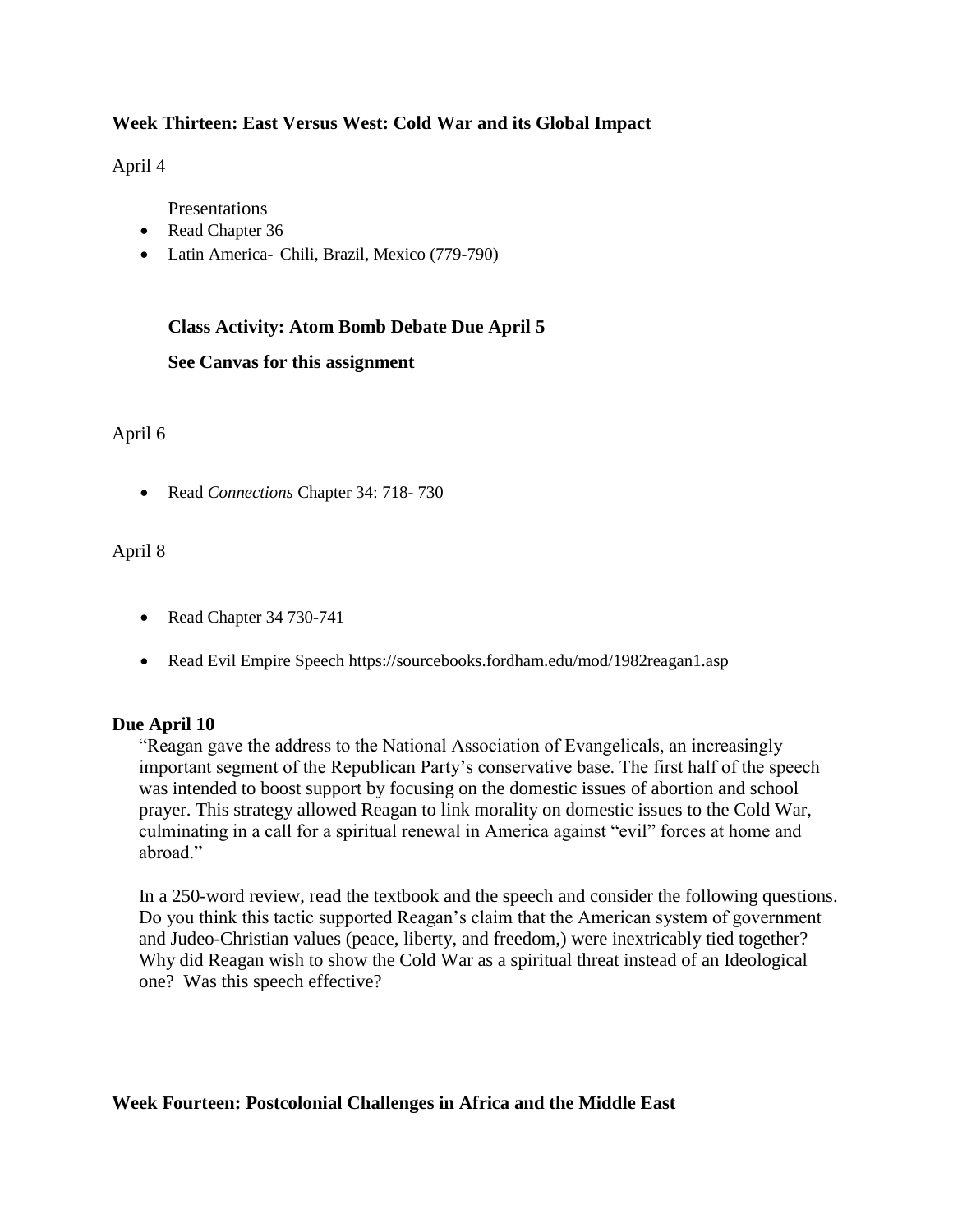## **Week Thirteen: East Versus West: Cold War and its Global Impact**

April 4

Presentations

- Read Chapter 36
- Latin America- Chili, Brazil, Mexico (779-790)

## **Class Activity: Atom Bomb Debate Due April 5**

#### **See Canvas for this assignment**

April 6

Read *Connections* Chapter 34: 718- 730

## April 8

- Read Chapter 34 730-741
- Read Evil Empire Speech<https://sourcebooks.fordham.edu/mod/1982reagan1.asp>

### **Due April 10**

"Reagan gave the address to the National Association of Evangelicals, an increasingly important segment of the Republican Party's conservative base. The first half of the speech was intended to boost support by focusing on the domestic issues of abortion and school prayer. This strategy allowed Reagan to link morality on domestic issues to the Cold War, culminating in a call for a spiritual renewal in America against "evil" forces at home and abroad."

In a 250-word review, read the textbook and the speech and consider the following questions. Do you think this tactic supported Reagan's claim that the American system of government and Judeo-Christian values (peace, liberty, and freedom,) were inextricably tied together? Why did Reagan wish to show the Cold War as a spiritual threat instead of an Ideological one? Was this speech effective?

### **Week Fourteen: Postcolonial Challenges in Africa and the Middle East**